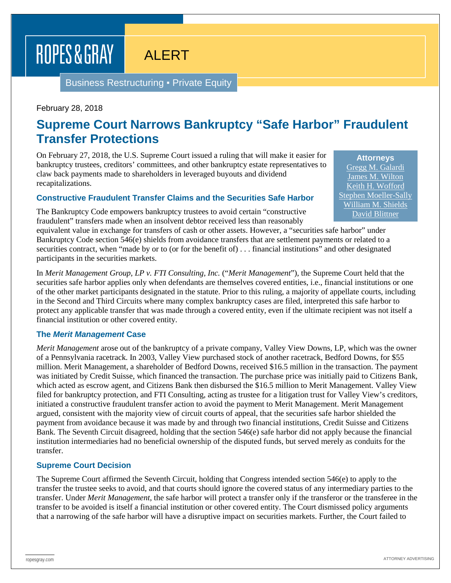# ROPES & GRAY

## ALERT

Business Restructuring ▪ Private Equity

February 28, 2018

## **Supreme Court Narrows Bankruptcy "Safe Harbor" Fraudulent Transfer Protections**

On February 27, 2018, the U.S. Supreme Court issued a ruling that will make it easier for bankruptcy trustees, creditors' committees, and other bankruptcy estate representatives to claw back payments made to shareholders in leveraged buyouts and dividend recapitalizations.

#### **Constructive Fraudulent Transfer Claims and the Securities Safe Harbor**

The Bankruptcy Code empowers bankruptcy trustees to avoid certain "constructive fraudulent" transfers made when an insolvent debtor received less than reasonably

equivalent value in exchange for transfers of cash or other assets. However, a "securities safe harbor" under Bankruptcy Code section 546(e) shields from avoidance transfers that are settlement payments or related to a securities contract, when "made by or to (or for the benefit of) . . . financial institutions" and other designated participants in the securities markets.

In *Merit Management Group, LP v. FTI Consulting, Inc.* ("*Merit Management*"), the Supreme Court held that the securities safe harbor applies only when defendants are themselves covered entities, i.e., financial institutions or one of the other market participants designated in the statute. Prior to this ruling, a majority of appellate courts, including in the Second and Third Circuits where many complex bankruptcy cases are filed, interpreted this safe harbor to protect any applicable transfer that was made through a covered entity, even if the ultimate recipient was not itself a financial institution or other covered entity.

#### **The** *Merit Management* **Case**

*Merit Management* arose out of the bankruptcy of a private company, Valley View Downs, LP, which was the owner of a Pennsylvania racetrack. In 2003, Valley View purchased stock of another racetrack, Bedford Downs, for \$55 million. Merit Management, a shareholder of Bedford Downs, received \$16.5 million in the transaction. The payment was initiated by Credit Suisse, which financed the transaction. The purchase price was initially paid to Citizens Bank, which acted as escrow agent, and Citizens Bank then disbursed the \$16.5 million to Merit Management. Valley View filed for bankruptcy protection, and FTI Consulting, acting as trustee for a litigation trust for Valley View's creditors, initiated a constructive fraudulent transfer action to avoid the payment to Merit Management. Merit Management argued, consistent with the majority view of circuit courts of appeal, that the securities safe harbor shielded the payment from avoidance because it was made by and through two financial institutions, Credit Suisse and Citizens Bank. The Seventh Circuit disagreed, holding that the section 546(e) safe harbor did not apply because the financial institution intermediaries had no beneficial ownership of the disputed funds, but served merely as conduits for the transfer.

#### **Supreme Court Decision**

The Supreme Court affirmed the Seventh Circuit, holding that Congress intended section 546(e) to apply to the transfer the trustee seeks to avoid, and that courts should ignore the covered status of any intermediary parties to the transfer. Under *Merit Management*, the safe harbor will protect a transfer only if the transferor or the transferee in the transfer to be avoided is itself a financial institution or other covered entity. The Court dismissed policy arguments that a narrowing of the safe harbor will have a disruptive impact on securities markets. Further, the Court failed to

**Attorneys** [Gregg M. Galardi](https://www.ropesgray.com/en/biographies/g/gregg-m-galardi) [James M. Wilton](https://www.ropesgray.com/en/biographies/w/james-m-wilton) [Keith H. Wofford](https://www.ropesgray.com/en/biographies/w/keith-h-wofford) [Stephen Moeller-Sally](https://www.ropesgray.com/en/biographies/m/stephen-moeller-sally) [William M. Shields](https://www.ropesgray.com/en/biographies/s/william-m-shields) [David Blittner](https://www.ropesgray.com/en/biographies/b/david-blittner)